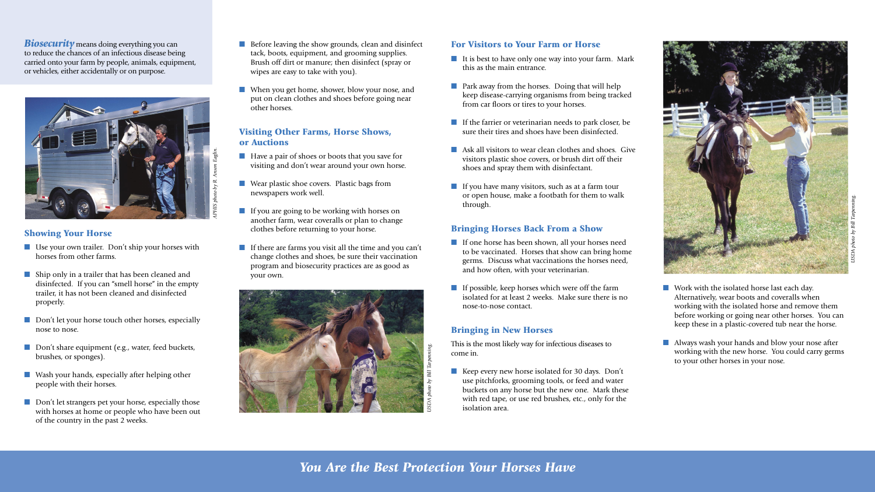





*Biosecurity* means doing everything you can to reduce the chances of an infectious disease being carried onto your farm by people, animals, equipment, or vehicles, either accidentally or on purpose.

#### Showing Your Horse

- Use your own trailer. Don't ship your horses with horses from other farms.
- Ship only in a trailer that has been cleaned and disinfected. If you can "smell horse" in the empty trailer, it has not been cleaned and disinfected properly.
- Don't let your horse touch other horses, especially nose to nose.
- Don't share equipment (e.g., water, feed buckets, brushes, or sponges).
- Wash your hands, especially after helping other people with their horses.
- Don't let strangers pet your horse, especially those with horses at home or people who have been out of the country in the past 2 weeks.
- Before leaving the show grounds, clean and disinfect tack, boots, equipment, and grooming supplies. Brush off dirt or manure; then disinfect (spray or wipes are easy to take with you).
- When you get home, shower, blow your nose, and put on clean clothes and shoes before going near other horses.

- Have a pair of shoes or boots that you save for visiting and don't wear around your own horse.
- Wear plastic shoe covers. Plastic bags from newspapers work well.
- If you are going to be working with horses on another farm, wear coveralls or plan to change clothes before returning to your horse.
- If there are farms you visit all the time and you can't change clothes and shoes, be sure their vaccination program and biosecurity practices are as good as your own.
- It is best to have only one way into your farm. Mark this as the main entrance.
- Park away from the horses. Doing that will help keep disease-carrying organisms from being tracked from car floors or tires to your horses.
- If the farrier or veterinarian needs to park closer, be sure their tires and shoes have been disinfected.
- Ask all visitors to wear clean clothes and shoes. Give visitors plastic shoe covers, or brush dirt off their shoes and spray them with disinfectant.
- If you have many visitors, such as at a farm tour or open house, make a footbath for them to walk through.

#### Visiting Other Farms, Horse Shows, or Auctions

- If one horse has been shown, all your horses need to be vaccinated. Horses that show can bring home germs. Discuss what vaccinations the horses need, and how often, with your veterinarian.
- If possible, keep horses which were off the farm isolated for at least 2 weeks. Make sure there is no nose-to-nose contact.
- Keep every new horse isolated for 30 days. Don't use pitchforks, grooming tools, or feed and water buckets on any horse but the new one. Mark these with red tape, or use red brushes, etc., only for the isolation area.
- 
- 

■ Work with the isolated horse last each day. Alternatively, wear boots and coveralls when working with the isolated horse and remove them before working or going near other horses. You can keep these in a plastic-covered tub near the horse.

■ Always wash your hands and blow your nose after working with the new horse. You could carry germs to your other horses in your nose.

#### For Visitors to Your Farm or Horse

#### Bringing Horses Back From a Show

#### Bringing in New Horses

This is the most likely way for infectious diseases to come in.